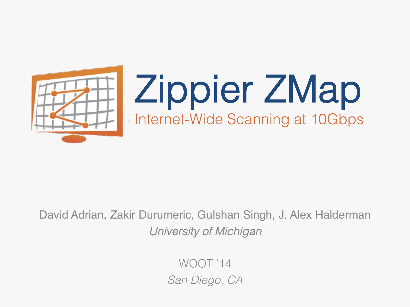

# Zippier ZMap Internet-Wide Scanning at 10Gbps

#### David Adrian, Zakir Durumeric, Gulshan Singh, J. Alex Halderman *University of Michigan*!

WOOT '14 *San Diego, CA*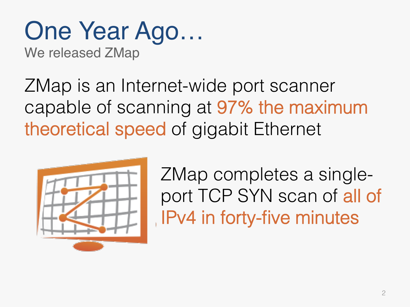# One Year Ago…

We released ZMap

ZMap is an Internet-wide port scanner capable of scanning at 97% the maximum theoretical speed of gigabit Ethernet



ZMap completes a singleport TCP SYN scan of all of IPv4 in forty-five minutes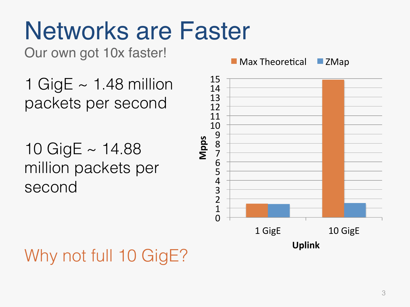# Networks are Faster

Our own got 10x faster!

- 1 GigE  $\sim$  1.48 million packets per second
- 10 GigE ~ 14.88 million packets per second



### Why not full 10 GigE?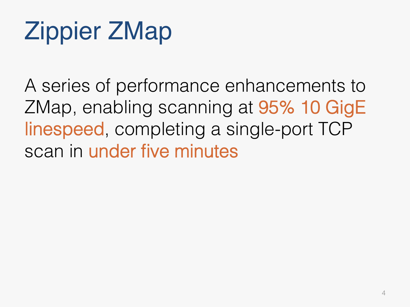# Zippier ZMap

A series of performance enhancements to ZMap, enabling scanning at 95% 10 GigE linespeed, completing a single-port TCP scan in under five minutes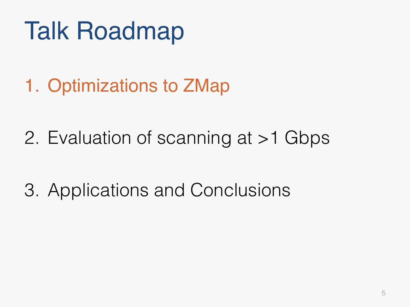# Talk Roadmap

1. Optimizations to ZMap

- 2. Evaluation of scanning at >1 Gbps
- 3. Applications and Conclusions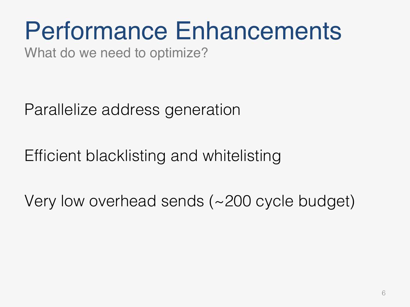# Performance Enhancements

What do we need to optimize?

Parallelize address generation

Efficient blacklisting and whitelisting

Very low overhead sends (~200 cycle budget)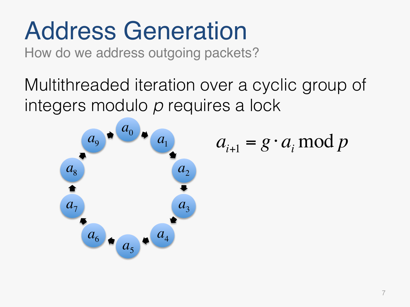# Address Generation

How do we address outgoing packets?

Multithreaded iteration over a cyclic group of integers modulo *p* requires a lock

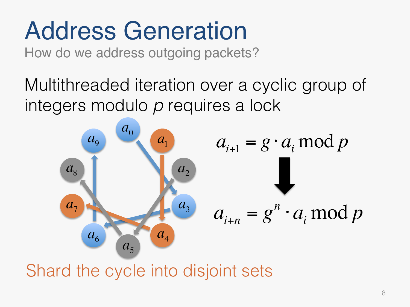# Address Generation

How do we address outgoing packets?

Multithreaded iteration over a cyclic group of integers modulo *p* requires a lock



Shard the cycle into disjoint sets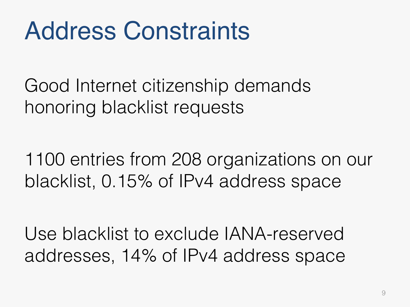# Address Constraints

Good Internet citizenship demands honoring blacklist requests

1100 entries from 208 organizations on our blacklist, 0.15% of IPv4 address space

Use blacklist to exclude IANA-reserved addresses, 14% of IPv4 address space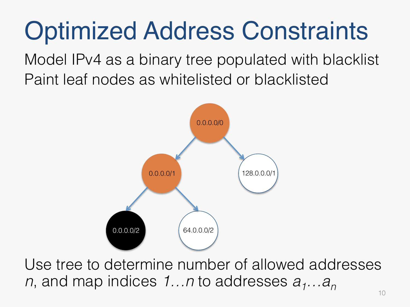# Optimized Address Constraints

Model IPv4 as a binary tree populated with blacklist Paint leaf nodes as whitelisted or blacklisted



Use tree to determine number of allowed addresses *n*, and map indices 1…n to addresses  $a_1...a_n$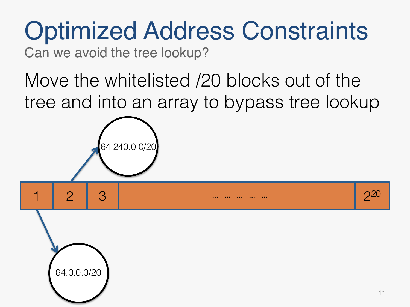# Optimized Address Constraints

Can we avoid the tree lookup?

64.240.0.0/20

64.0.0.0/20

1 2 3 3 … … … … … …

Move the whitelisted /20 blocks out of the tree and into an array to bypass tree lookup



220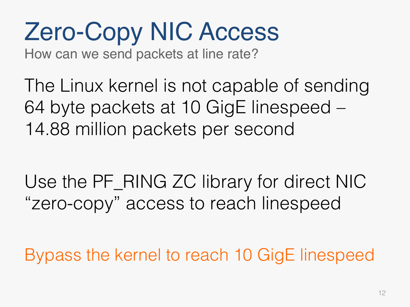# Zero-Copy NIC Access

How can we send packets at line rate?

The Linux kernel is not capable of sending 64 byte packets at 10 GigE linespeed – 14.88 million packets per second

Use the PF\_RING ZC library for direct NIC "zero-copy" access to reach linespeed

Bypass the kernel to reach 10 GigE linespeed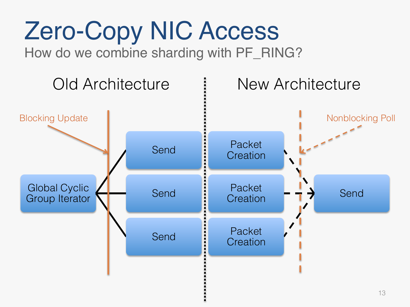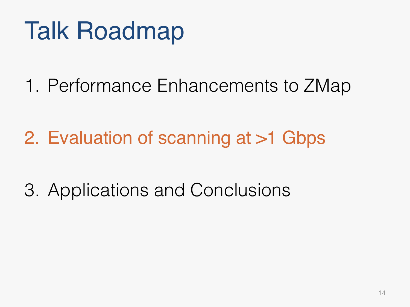# Talk Roadmap

1. Performance Enhancements to ZMap

2. Evaluation of scanning at >1 Gbps

3. Applications and Conclusions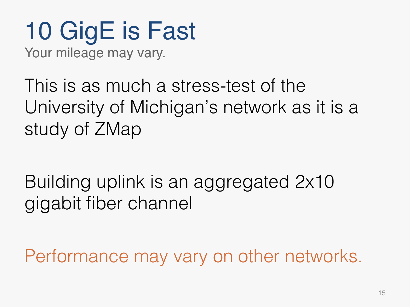### 10 GigE is Fast Your mileage may vary.

This is as much a stress-test of the University of Michigan's network as it is a study of ZMap

Building uplink is an aggregated 2x10 gigabit fiber channel

Performance may vary on other networks.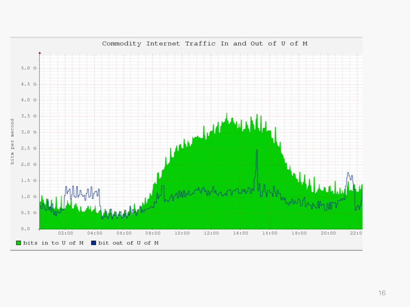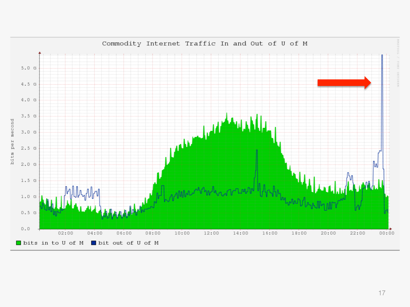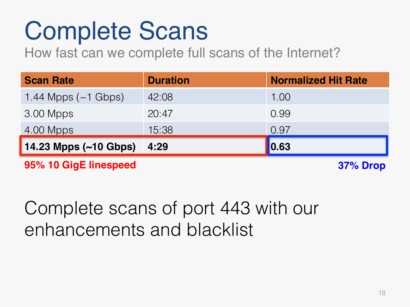# Complete Scans

How fast can we complete full scans of the Internet?

| <b>Scan Rate</b>           | <b>Duration</b> | <b>Normalized Hit Rate</b> |
|----------------------------|-----------------|----------------------------|
| 1.44 Mpps $({\sim}1$ Gbps) | 42:08           | 1.00                       |
| $3.00$ Mpps                | 20:47           | 0.99                       |
| 4.00 Mpps                  | 15:38           | 0.97                       |
| 14.23 Mpps (~10 Gbps)      | 4:29            | $\vert$ 0.63               |
|                            |                 |                            |

**95% 10 GigE linespeed**

**37% Drop**

### Complete scans of port 443 with our enhancements and blacklist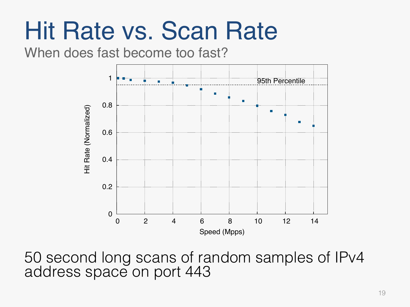## Hit Rate vs. Scan Rate

#### When does fast become too fast?



50 second long scans of random samples of IPv4 address space on port 443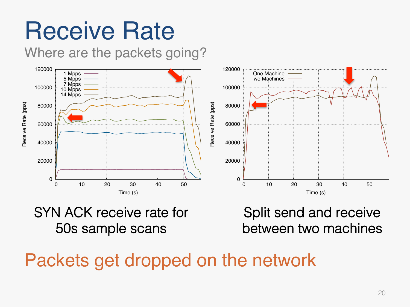# Receive Rate

#### Where are the packets going?



#### SYN ACK receive rate for 50s sample scans!

Split send and receive between two machines!

Packets get dropped on the network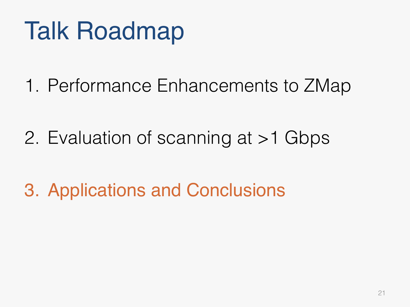# Talk Roadmap

1. Performance Enhancements to ZMap

- 2. Evaluation of scanning at >1 Gbps
- 3. Applications and Conclusions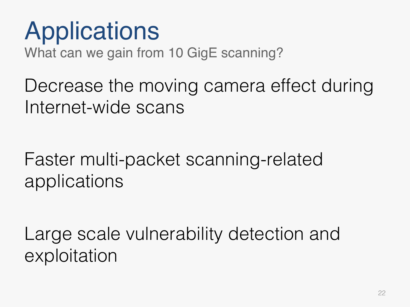# Applications

What can we gain from 10 GigE scanning?

Decrease the moving camera effect during Internet-wide scans

Faster multi-packet scanning-related applications

Large scale vulnerability detection and exploitation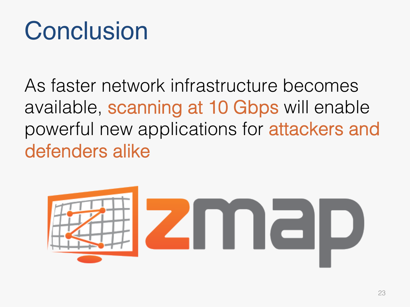## Conclusion

As faster network infrastructure becomes available, scanning at 10 Gbps will enable powerful new applications for attackers and defenders alike

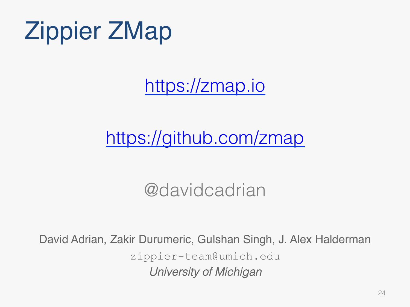# Zippier ZMap

https://zmap.io

### https://github.com/zmap

#### @davidcadrian

David Adrian, Zakir Durumeric, Gulshan Singh, J. Alex Halderman zippier-team@umich.edu *University of Michigan*!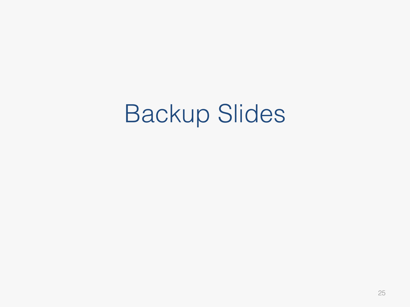## Backup Slides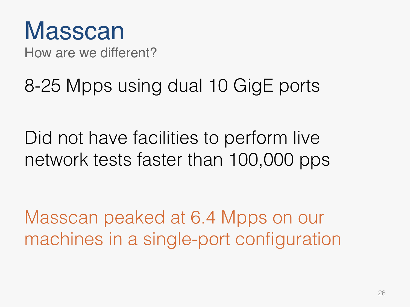## Masscan

How are we different?

### 8-25 Mpps using dual 10 GigE ports

Did not have facilities to perform live network tests faster than 100,000 pps

Masscan peaked at 6.4 Mpps on our machines in a single-port configuration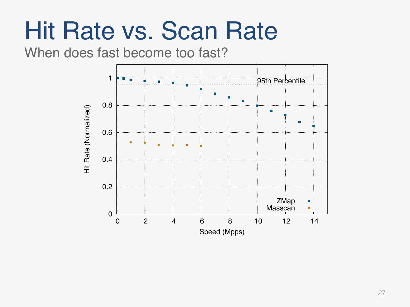## Hit Rate vs. Scan Rate

#### When does fast become too fast?